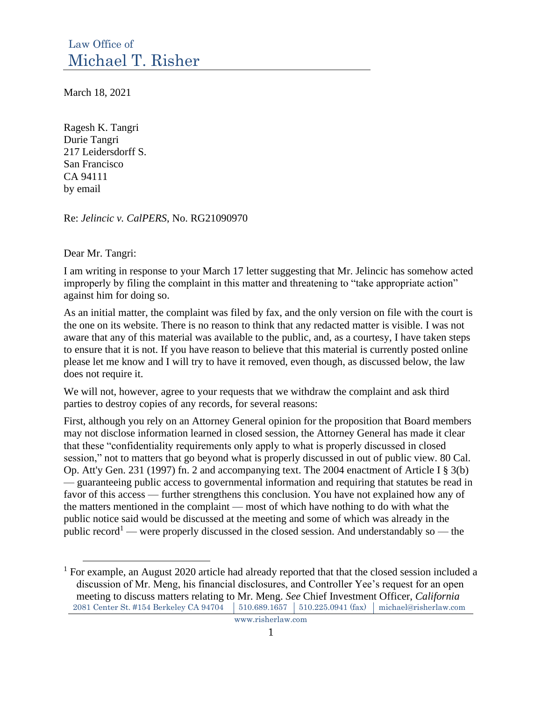March 18, 2021

Ragesh K. Tangri Durie Tangri 217 Leidersdorff S. San Francisco CA 94111 by email

Re: *Jelincic v. CalPERS*, No. RG21090970

Dear Mr. Tangri:

I am writing in response to your March 17 letter suggesting that Mr. Jelincic has somehow acted improperly by filing the complaint in this matter and threatening to "take appropriate action" against him for doing so.

As an initial matter, the complaint was filed by fax, and the only version on file with the court is the one on its website. There is no reason to think that any redacted matter is visible. I was not aware that any of this material was available to the public, and, as a courtesy, I have taken steps to ensure that it is not. If you have reason to believe that this material is currently posted online please let me know and I will try to have it removed, even though, as discussed below, the law does not require it.

We will not, however, agree to your requests that we withdraw the complaint and ask third parties to destroy copies of any records, for several reasons:

First, although you rely on an Attorney General opinion for the proposition that Board members may not disclose information learned in closed session, the Attorney General has made it clear that these "confidentiality requirements only apply to what is properly discussed in closed session," not to matters that go beyond what is properly discussed in out of public view. 80 Cal. Op. Att'y Gen. 231 (1997) fn. 2 and accompanying text. The 2004 enactment of Article I § 3(b) — guaranteeing public access to governmental information and requiring that statutes be read in favor of this access — further strengthens this conclusion. You have not explained how any of the matters mentioned in the complaint — most of which have nothing to do with what the public notice said would be discussed at the meeting and some of which was already in the public record<sup>1</sup> — were properly discussed in the closed session. And understandably so — the

<sup>2081</sup> Center St. #154 Berkeley CA 94704 510.689.1657 510.225.0941 (fax) michael@risherlaw.com  $1$  For example, an August 2020 article had already reported that that the closed session included a discussion of Mr. Meng, his financial disclosures, and Controller Yee's request for an open meeting to discuss matters relating to Mr. Meng. *See* Chief Investment Officer, *California*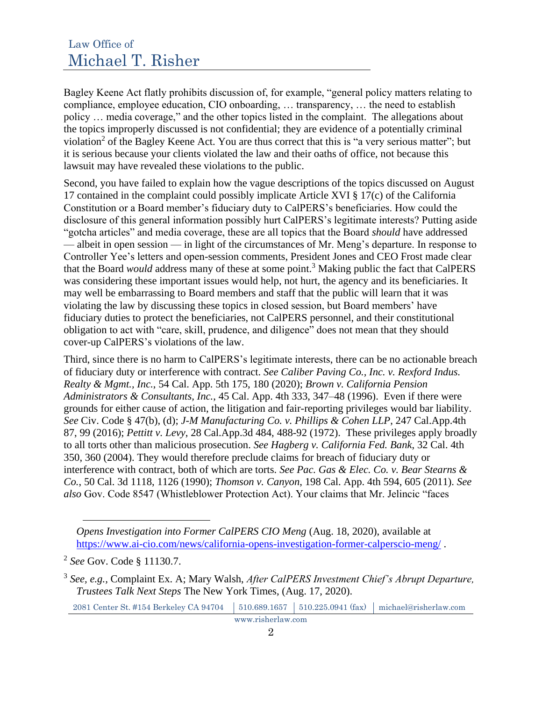Bagley Keene Act flatly prohibits discussion of, for example, "general policy matters relating to compliance, employee education, CIO onboarding, … transparency, … the need to establish policy … media coverage," and the other topics listed in the complaint. The allegations about the topics improperly discussed is not confidential; they are evidence of a potentially criminal violation<sup>2</sup> of the Bagley Keene Act. You are thus correct that this is "a very serious matter"; but it is serious because your clients violated the law and their oaths of office, not because this lawsuit may have revealed these violations to the public.

Second, you have failed to explain how the vague descriptions of the topics discussed on August 17 contained in the complaint could possibly implicate Article XVI § 17(c) of the California Constitution or a Board member's fiduciary duty to CalPERS's beneficiaries. How could the disclosure of this general information possibly hurt CalPERS's legitimate interests? Putting aside "gotcha articles" and media coverage, these are all topics that the Board *should* have addressed — albeit in open session — in light of the circumstances of Mr. Meng's departure. In response to Controller Yee's letters and open-session comments, President Jones and CEO Frost made clear that the Board *would* address many of these at some point.<sup>3</sup> Making public the fact that CalPERS was considering these important issues would help, not hurt, the agency and its beneficiaries. It may well be embarrassing to Board members and staff that the public will learn that it was violating the law by discussing these topics in closed session, but Board members' have fiduciary duties to protect the beneficiaries, not CalPERS personnel, and their constitutional obligation to act with "care, skill, prudence, and diligence" does not mean that they should cover-up CalPERS's violations of the law.

Third, since there is no harm to CalPERS's legitimate interests, there can be no actionable breach of fiduciary duty or interference with contract. *See Caliber Paving Co., Inc. v. Rexford Indus. Realty & Mgmt., Inc.*, 54 Cal. App. 5th 175, 180 (2020); *Brown v. California Pension Administrators & Consultants, Inc.*, 45 Cal. App. 4th 333, 347–48 (1996). Even if there were grounds for either cause of action, the litigation and fair-reporting privileges would bar liability. *See* Civ. Code § 47(b), (d); *J-M Manufacturing Co. v. Phillips & Cohen LLP*, 247 Cal.App.4th 87, 99 (2016); *Pettitt v. Levy*, 28 Cal.App.3d 484, 488-92 (1972). These privileges apply broadly to all torts other than malicious prosecution. *See Hagberg v. California Fed. Bank*, 32 Cal. 4th 350, 360 (2004). They would therefore preclude claims for breach of fiduciary duty or interference with contract, both of which are torts. *See Pac. Gas & Elec. Co. v. Bear Stearns & Co.*, 50 Cal. 3d 1118, 1126 (1990); *Thomson v. Canyon*, 198 Cal. App. 4th 594, 605 (2011). *See also* Gov. Code 8547 (Whistleblower Protection Act). Your claims that Mr. Jelincic "faces

2081 Center St. #154 Berkeley CA 94704 | 510.689.1657 | 510.225.0941 (fax) | michael@risherlaw.com

*Opens Investigation into Former CalPERS CIO Meng* (Aug. 18, 2020), available at https://www.ai-cio.com/news/california-opens-investigation-former-calperscio-meng/ .

<sup>2</sup> *See* Gov. Code § 11130.7.

<sup>3</sup> *See, e.g.,* Complaint Ex. A; Mary Walsh, *After CalPERS Investment Chief's Abrupt Departure, Trustees Talk Next Steps* The New York Times, (Aug. 17, 2020).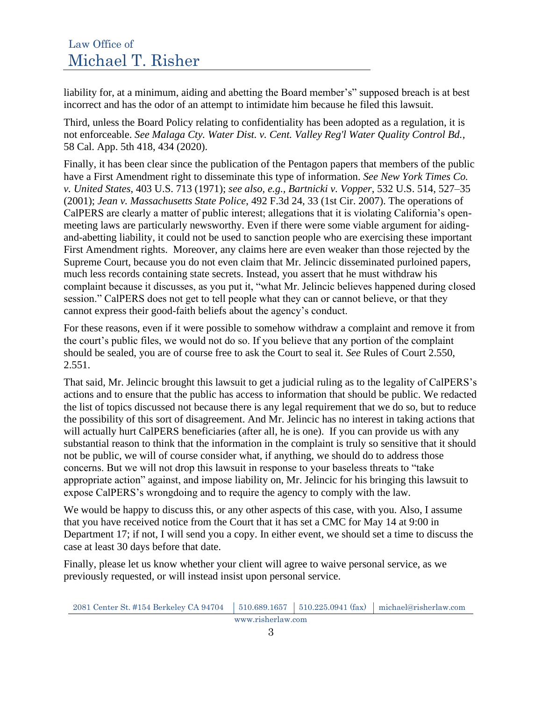liability for, at a minimum, aiding and abetting the Board member's" supposed breach is at best incorrect and has the odor of an attempt to intimidate him because he filed this lawsuit.

Third, unless the Board Policy relating to confidentiality has been adopted as a regulation, it is not enforceable. *See Malaga Cty. Water Dist. v. Cent. Valley Reg'l Water Quality Control Bd.*, 58 Cal. App. 5th 418, 434 (2020).

Finally, it has been clear since the publication of the Pentagon papers that members of the public have a First Amendment right to disseminate this type of information. *See New York Times Co. v. United States*, 403 U.S. 713 (1971); *see also, e.g., Bartnicki v. Vopper*, 532 U.S. 514, 527–35 (2001); *Jean v. Massachusetts State Police*, 492 F.3d 24, 33 (1st Cir. 2007). The operations of CalPERS are clearly a matter of public interest; allegations that it is violating California's openmeeting laws are particularly newsworthy. Even if there were some viable argument for aidingand-abetting liability, it could not be used to sanction people who are exercising these important First Amendment rights. Moreover, any claims here are even weaker than those rejected by the Supreme Court, because you do not even claim that Mr. Jelincic disseminated purloined papers, much less records containing state secrets. Instead, you assert that he must withdraw his complaint because it discusses, as you put it, "what Mr. Jelincic believes happened during closed session." CalPERS does not get to tell people what they can or cannot believe, or that they cannot express their good-faith beliefs about the agency's conduct.

For these reasons, even if it were possible to somehow withdraw a complaint and remove it from the court's public files, we would not do so. If you believe that any portion of the complaint should be sealed, you are of course free to ask the Court to seal it. *See* Rules of Court 2.550, 2.551.

That said, Mr. Jelincic brought this lawsuit to get a judicial ruling as to the legality of CalPERS's actions and to ensure that the public has access to information that should be public. We redacted the list of topics discussed not because there is any legal requirement that we do so, but to reduce the possibility of this sort of disagreement. And Mr. Jelincic has no interest in taking actions that will actually hurt CalPERS beneficiaries (after all, he is one). If you can provide us with any substantial reason to think that the information in the complaint is truly so sensitive that it should not be public, we will of course consider what, if anything, we should do to address those concerns. But we will not drop this lawsuit in response to your baseless threats to "take appropriate action" against, and impose liability on, Mr. Jelincic for his bringing this lawsuit to expose CalPERS's wrongdoing and to require the agency to comply with the law.

We would be happy to discuss this, or any other aspects of this case, with you. Also, I assume that you have received notice from the Court that it has set a CMC for May 14 at 9:00 in Department 17; if not, I will send you a copy. In either event, we should set a time to discuss the case at least 30 days before that date.

Finally, please let us know whether your client will agree to waive personal service, as we previously requested, or will instead insist upon personal service.